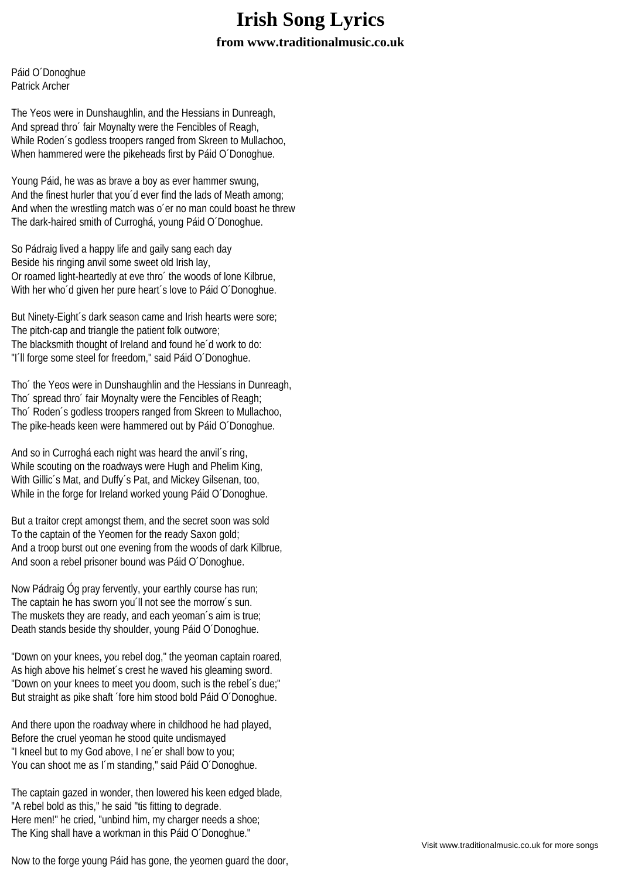## **Irish Song Lyrics from www.traditionalmusic.co.uk**

Páid O´Donoghue Patrick Archer

The Yeos were in Dunshaughlin, and the Hessians in Dunreagh, And spread thro´ fair Moynalty were the Fencibles of Reagh, While Roden´s godless troopers ranged from Skreen to Mullachoo, When hammered were the pikeheads first by Páid O´Donoghue.

Young Páid, he was as brave a boy as ever hammer swung, And the finest hurler that you´d ever find the lads of Meath among; And when the wrestling match was o´er no man could boast he threw The dark-haired smith of Curroghá, young Páid O´Donoghue.

So Pádraig lived a happy life and gaily sang each day Beside his ringing anvil some sweet old Irish lay, Or roamed light-heartedly at eve thro´ the woods of lone Kilbrue, With her who´d given her pure heart´s love to Páid O´Donoghue.

But Ninety-Eight´s dark season came and Irish hearts were sore; The pitch-cap and triangle the patient folk outwore; The blacksmith thought of Ireland and found he´d work to do: "I´ll forge some steel for freedom," said Páid O´Donoghue.

Tho´ the Yeos were in Dunshaughlin and the Hessians in Dunreagh, Tho´ spread thro´ fair Moynalty were the Fencibles of Reagh; Tho´ Roden´s godless troopers ranged from Skreen to Mullachoo, The pike-heads keen were hammered out by Páid O´Donoghue.

And so in Curroghá each night was heard the anvil´s ring, While scouting on the roadways were Hugh and Phelim King, With Gillic´s Mat, and Duffy´s Pat, and Mickey Gilsenan, too, While in the forge for Ireland worked young Páid O´Donoghue.

But a traitor crept amongst them, and the secret soon was sold To the captain of the Yeomen for the ready Saxon gold; And a troop burst out one evening from the woods of dark Kilbrue, And soon a rebel prisoner bound was Páid O´Donoghue.

Now Pádraig Óg pray fervently, your earthly course has run; The captain he has sworn you'll not see the morrow's sun. The muskets they are ready, and each yeoman´s aim is true; Death stands beside thy shoulder, young Páid O´Donoghue.

"Down on your knees, you rebel dog," the yeoman captain roared, As high above his helmet's crest he waved his gleaming sword. "Down on your knees to meet you doom, such is the rebel´s due;" But straight as pike shaft ´fore him stood bold Páid O´Donoghue.

And there upon the roadway where in childhood he had played, Before the cruel yeoman he stood quite undismayed "I kneel but to my God above, I ne´er shall bow to you; You can shoot me as I´m standing," said Páid O´Donoghue.

The captain gazed in wonder, then lowered his keen edged blade, "A rebel bold as this," he said "tis fitting to degrade. Here men!" he cried, "unbind him, my charger needs a shoe: The King shall have a workman in this Páid O´Donoghue."

Now to the forge young Páid has gone, the yeomen guard the door,